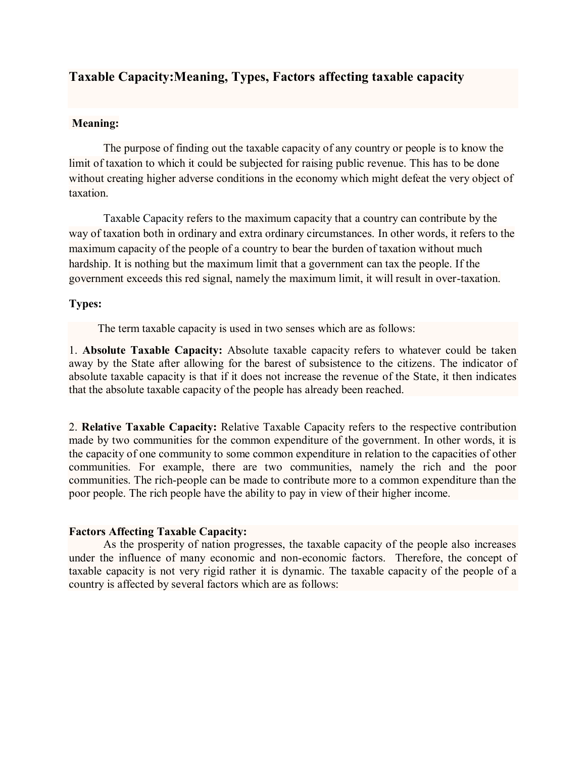## **Taxable Capacity:Meaning, Types, Factors affecting taxable capacity**

## **Meaning:**

The purpose of finding out the taxable capacity of any country or people is to know the limit of taxation to which it could be subjected for raising public revenue. This has to be done without creating higher adverse conditions in the economy which might defeat the very object of taxation.

Taxable Capacity refers to the maximum capacity that a country can contribute by the way of [taxation](https://accountlearning.com/taxation-influence-productivity-nation/) both in ordinary and extra ordinary circumstances. In other words, it refers to the maximum capacity of the people of a country to bear the burden of [taxation](https://accountlearning.com/effects-taxation-consumption/) without much hardship. It is nothing but the maximum limit that a government can tax the people. If the government exceeds this red signal, namely the maximum limit, it will result in over-taxation.

## **Types:**

The term taxable capacity is used in two senses which are as follows:

1. **Absolute Taxable Capacity:** Absolute taxable capacity refers to whatever could be taken away by the State after allowing for the barest of subsistence to the citizens. The indicator of absolute taxable capacity is that if it does not increase the revenue of the State, it then indicates that the absolute taxable capacity of the people has already been reached.

2. **Relative Taxable Capacity:** Relative Taxable Capacity refers to the respective contribution made by two communities for the common expenditure of the government. In other words, it is the capacity of one community to some common expenditure in relation to the capacities of other communities. For example, there are two communities, namely the rich and the poor communities. The rich-people can be made to contribute more to a common expenditure than the poor people. The rich people have the ability to pay in view of their higher income.

## **Factors Affecting Taxable Capacity:**

As the prosperity of nation progresses, the taxable capacity of the people also increases under the influence of many economic and non-economic factors. Therefore, the concept of taxable capacity is not very rigid rather it is dynamic. The taxable capacity of the people of a country is affected by several factors which are as follows: